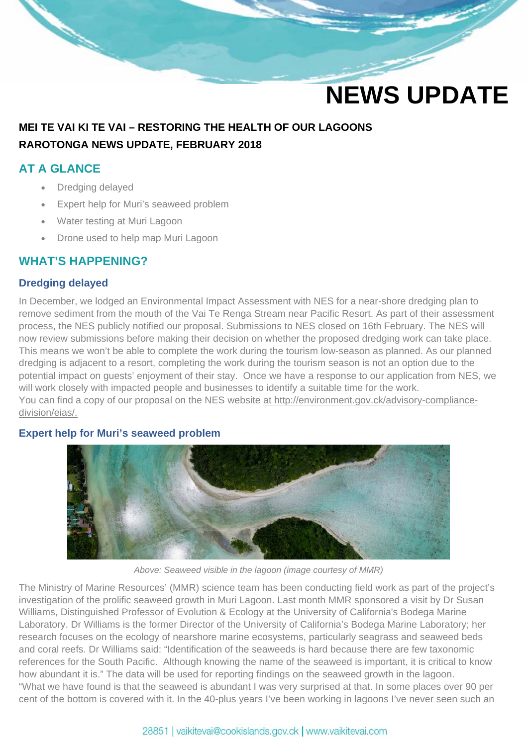# **NEWS UPDATE**

# **MEI TE VAI KI TE VAI – RESTORING THE HEALTH OF OUR LAGOONS RAROTONGA NEWS UPDATE, FEBRUARY 2018**

## **AT A GLANCE**

- Dredging delayed
- Expert help for Muri's seaweed problem
- Water testing at Muri Lagoon
- Drone used to help map Muri Lagoon

## **WHAT'S HAPPENING?**

### **Dredging delayed**

In December, we lodged an Environmental Impact Assessment with NES for a near-shore dredging plan to remove sediment from the mouth of the Vai Te Renga Stream near Pacific Resort. As part of their assessment process, the NES publicly notified our proposal. Submissions to NES closed on 16th February. The NES will now review submissions before making their decision on whether the proposed dredging work can take place. This means we won't be able to complete the work during the tourism low-season as planned. As our planned dredging is adjacent to a resort, completing the work during the tourism season is not an option due to the potential impact on guests' enjoyment of their stay. Once we have a response to our application from NES, we will work closely with impacted people and businesses to identify a suitable time for the work. You can find a copy of our proposal on the NES website at http://environment.gov.ck/advisory-compliancedivision/eias/.

#### **Expert help for Muri's seaweed problem**



*Above: Seaweed visible in the lagoon (image courtesy of MMR)* 

The Ministry of Marine Resources' (MMR) science team has been conducting field work as part of the project's investigation of the prolific seaweed growth in Muri Lagoon. Last month MMR sponsored a visit by Dr Susan Williams, Distinguished Professor of Evolution & Ecology at the University of California's Bodega Marine Laboratory. Dr Williams is the former Director of the University of California's Bodega Marine Laboratory; her research focuses on the ecology of nearshore marine ecosystems, particularly seagrass and seaweed beds and coral reefs. Dr Williams said: "Identification of the seaweeds is hard because there are few taxonomic references for the South Pacific. Although knowing the name of the seaweed is important, it is critical to know how abundant it is." The data will be used for reporting findings on the seaweed growth in the lagoon. "What we have found is that the seaweed is abundant I was very surprised at that. In some places over 90 per cent of the bottom is covered with it. In the 40-plus years I've been working in lagoons I've never seen such an